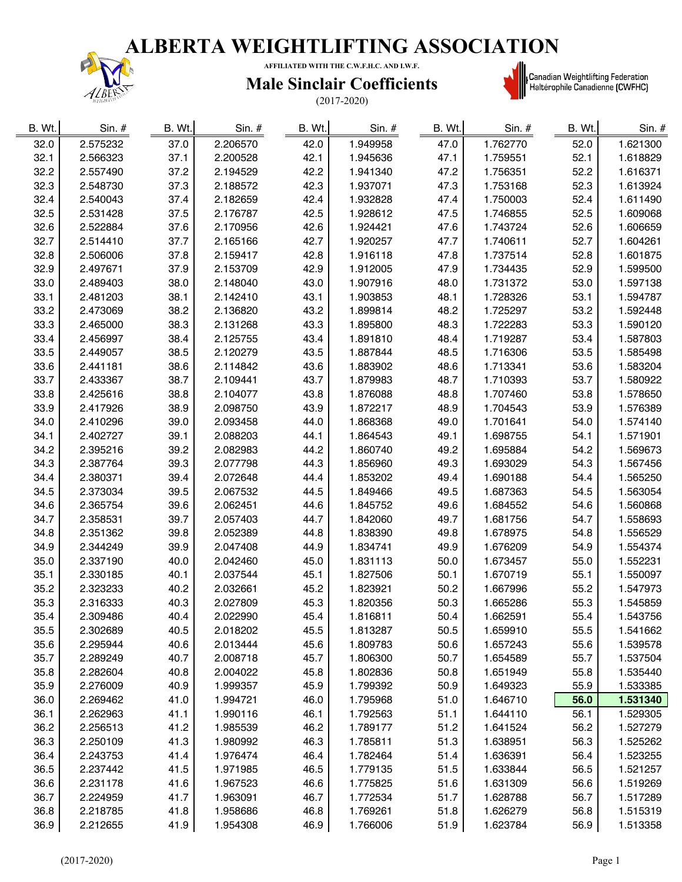

**AFFILIATED WITH THE C.W.F.H.C. AND I.W.F.**

### **Male Sinclair Coefficients**

(2017-2020)



**starber († 1888)**<br>| Canadian Weightlifting Federation<br>| Haltérophile Canadienne (CWFHC)

| B. Wt. | $Sin.$ # | B. Wt. | Sin. $#$ | B. Wt. | $Sin.$ # | B. Wt. | $Sin.$ # | B. Wt. | Sin. #   |
|--------|----------|--------|----------|--------|----------|--------|----------|--------|----------|
| 32.0   | 2.575232 | 37.0   | 2.206570 | 42.0   | 1.949958 | 47.0   | 1.762770 | 52.0   | 1.621300 |
| 32.1   | 2.566323 | 37.1   | 2.200528 | 42.1   | 1.945636 | 47.1   | 1.759551 | 52.1   | 1.618829 |
| 32.2   | 2.557490 | 37.2   | 2.194529 | 42.2   | 1.941340 | 47.2   | 1.756351 | 52.2   | 1.616371 |
| 32.3   | 2.548730 | 37.3   | 2.188572 | 42.3   | 1.937071 | 47.3   | 1.753168 | 52.3   | 1.613924 |
| 32.4   | 2.540043 | 37.4   | 2.182659 | 42.4   | 1.932828 | 47.4   | 1.750003 | 52.4   | 1.611490 |
| 32.5   | 2.531428 | 37.5   | 2.176787 | 42.5   | 1.928612 | 47.5   | 1.746855 | 52.5   | 1.609068 |
| 32.6   | 2.522884 | 37.6   | 2.170956 | 42.6   | 1.924421 | 47.6   | 1.743724 | 52.6   | 1.606659 |
| 32.7   | 2.514410 | 37.7   | 2.165166 | 42.7   | 1.920257 | 47.7   | 1.740611 | 52.7   | 1.604261 |
| 32.8   | 2.506006 | 37.8   | 2.159417 | 42.8   | 1.916118 | 47.8   | 1.737514 | 52.8   | 1.601875 |
| 32.9   | 2.497671 | 37.9   | 2.153709 | 42.9   | 1.912005 | 47.9   | 1.734435 | 52.9   | 1.599500 |
| 33.0   | 2.489403 | 38.0   | 2.148040 | 43.0   | 1.907916 | 48.0   | 1.731372 | 53.0   | 1.597138 |
| 33.1   | 2.481203 | 38.1   | 2.142410 | 43.1   | 1.903853 | 48.1   | 1.728326 | 53.1   | 1.594787 |
| 33.2   | 2.473069 | 38.2   | 2.136820 | 43.2   | 1.899814 | 48.2   | 1.725297 | 53.2   | 1.592448 |
| 33.3   | 2.465000 | 38.3   | 2.131268 | 43.3   | 1.895800 | 48.3   | 1.722283 | 53.3   | 1.590120 |
| 33.4   | 2.456997 | 38.4   | 2.125755 | 43.4   | 1.891810 | 48.4   | 1.719287 | 53.4   | 1.587803 |
| 33.5   | 2.449057 | 38.5   | 2.120279 | 43.5   | 1.887844 | 48.5   | 1.716306 | 53.5   | 1.585498 |
| 33.6   | 2.441181 | 38.6   | 2.114842 | 43.6   | 1.883902 | 48.6   | 1.713341 | 53.6   | 1.583204 |
| 33.7   | 2.433367 | 38.7   | 2.109441 | 43.7   | 1.879983 | 48.7   | 1.710393 | 53.7   | 1.580922 |
| 33.8   | 2.425616 | 38.8   | 2.104077 | 43.8   | 1.876088 | 48.8   | 1.707460 | 53.8   | 1.578650 |
| 33.9   | 2.417926 | 38.9   | 2.098750 | 43.9   | 1.872217 | 48.9   | 1.704543 | 53.9   | 1.576389 |
| 34.0   | 2.410296 | 39.0   | 2.093458 | 44.0   | 1.868368 | 49.0   | 1.701641 | 54.0   | 1.574140 |
| 34.1   | 2.402727 | 39.1   | 2.088203 | 44.1   | 1.864543 | 49.1   | 1.698755 | 54.1   | 1.571901 |
| 34.2   | 2.395216 | 39.2   | 2.082983 | 44.2   | 1.860740 | 49.2   | 1.695884 | 54.2   | 1.569673 |
| 34.3   | 2.387764 | 39.3   | 2.077798 | 44.3   | 1.856960 | 49.3   | 1.693029 | 54.3   | 1.567456 |
| 34.4   | 2.380371 | 39.4   | 2.072648 | 44.4   | 1.853202 | 49.4   | 1.690188 | 54.4   | 1.565250 |
| 34.5   | 2.373034 | 39.5   | 2.067532 | 44.5   | 1.849466 | 49.5   | 1.687363 | 54.5   | 1.563054 |
| 34.6   | 2.365754 | 39.6   | 2.062451 | 44.6   | 1.845752 | 49.6   | 1.684552 | 54.6   | 1.560868 |
| 34.7   | 2.358531 | 39.7   | 2.057403 | 44.7   | 1.842060 | 49.7   | 1.681756 | 54.7   | 1.558693 |
| 34.8   | 2.351362 | 39.8   | 2.052389 | 44.8   | 1.838390 | 49.8   | 1.678975 | 54.8   | 1.556529 |
| 34.9   | 2.344249 | 39.9   | 2.047408 | 44.9   | 1.834741 | 49.9   | 1.676209 | 54.9   | 1.554374 |
| 35.0   | 2.337190 | 40.0   | 2.042460 | 45.0   | 1.831113 | 50.0   | 1.673457 | 55.0   | 1.552231 |
| 35.1   | 2.330185 | 40.1   | 2.037544 | 45.1   | 1.827506 | 50.1   | 1.670719 | 55.1   | 1.550097 |
| 35.2   | 2.323233 | 40.2   | 2.032661 | 45.2   | 1.823921 | 50.2   | 1.667996 | 55.2   | 1.547973 |
| 35.3   | 2.316333 | 40.3   | 2.027809 | 45.3   | 1.820356 | 50.3   | 1.665286 | 55.3   | 1.545859 |
| 35.4   | 2.309486 | 40.4   | 2.022990 | 45.4   | 1.816811 | 50.4   | 1.662591 | 55.4   | 1.543756 |
| 35.5   | 2.302689 | 40.5   | 2.018202 | 45.5   | 1.813287 | 50.5   | 1.659910 | 55.5   | 1.541662 |
| 35.6   | 2.295944 | 40.6   | 2.013444 | 45.6   | 1.809783 | 50.6   | 1.657243 | 55.6   | 1.539578 |
| 35.7   | 2.289249 | 40.7   | 2.008718 | 45.7   | 1.806300 | 50.7   | 1.654589 | 55.7   | 1.537504 |
| 35.8   | 2.282604 | 40.8   | 2.004022 | 45.8   | 1.802836 | 50.8   | 1.651949 | 55.8   | 1.535440 |
| 35.9   | 2.276009 | 40.9   | 1.999357 | 45.9   | 1.799392 | 50.9   | 1.649323 | 55.9   | 1.533385 |
| 36.0   | 2.269462 | 41.0   | 1.994721 | 46.0   | 1.795968 | 51.0   | 1.646710 | 56.0   | 1.531340 |
| 36.1   | 2.262963 | 41.1   | 1.990116 | 46.1   | 1.792563 | 51.1   | 1.644110 | 56.1   | 1.529305 |
| 36.2   | 2.256513 | 41.2   | 1.985539 | 46.2   | 1.789177 | 51.2   | 1.641524 | 56.2   | 1.527279 |
| 36.3   | 2.250109 | 41.3   | 1.980992 | 46.3   | 1.785811 | 51.3   | 1.638951 | 56.3   | 1.525262 |
| 36.4   | 2.243753 | 41.4   | 1.976474 | 46.4   | 1.782464 | 51.4   | 1.636391 | 56.4   | 1.523255 |
| 36.5   | 2.237442 | 41.5   | 1.971985 | 46.5   | 1.779135 | 51.5   | 1.633844 | 56.5   | 1.521257 |
| 36.6   | 2.231178 | 41.6   | 1.967523 | 46.6   | 1.775825 | 51.6   | 1.631309 | 56.6   | 1.519269 |
| 36.7   | 2.224959 | 41.7   | 1.963091 | 46.7   | 1.772534 | 51.7   | 1.628788 | 56.7   | 1.517289 |
| 36.8   | 2.218785 | 41.8   | 1.958686 | 46.8   | 1.769261 | 51.8   | 1.626279 | 56.8   | 1.515319 |
| 36.9   | 2.212655 | 41.9   | 1.954308 | 46.9   | 1.766006 | 51.9   | 1.623784 | 56.9   | 1.513358 |
|        |          |        |          |        |          |        |          |        |          |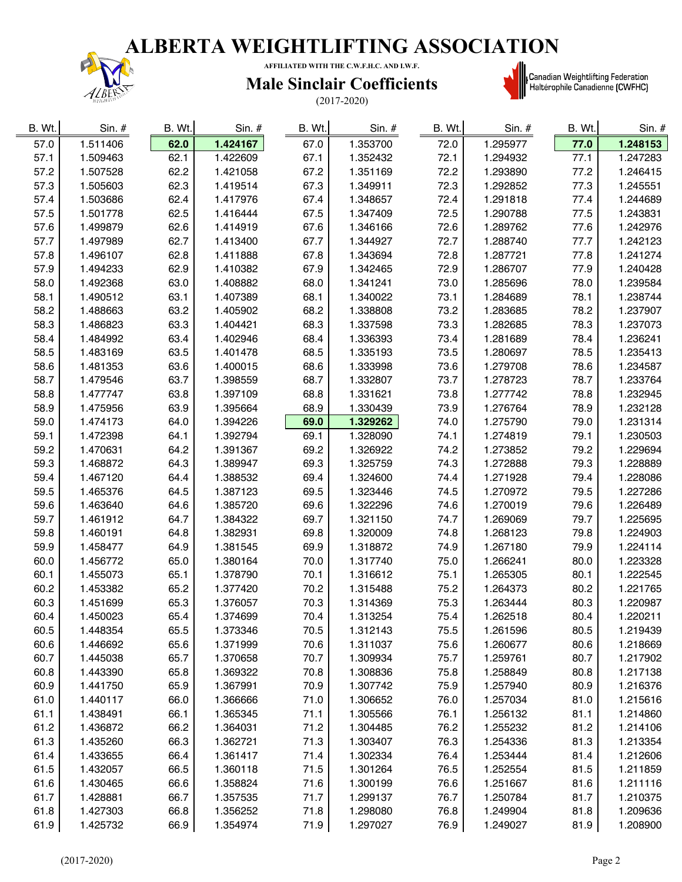

**AFFILIATED WITH THE C.W.F.H.C. AND I.W.F.**

#### **Male Sinclair Coefficients**

(2017-2020)



**starting († 1818)**<br>| Canadian Weightlifting Federation<br>| Haltérophile Canadienne (CWFHC)

| B. Wt. | $Sin.$ # | B. Wt. | $Sin.$ # | B. Wt. | $Sin.$ # | B. Wt. | Sin. #   | B. Wt. | $Sin.$ # |
|--------|----------|--------|----------|--------|----------|--------|----------|--------|----------|
| 57.0   | 1.511406 | 62.0   | 1.424167 | 67.0   | 1.353700 | 72.0   | 1.295977 | 77.0   | 1.248153 |
| 57.1   | 1.509463 | 62.1   | 1.422609 | 67.1   | 1.352432 | 72.1   | 1.294932 | 77.1   | 1.247283 |
| 57.2   | 1.507528 | 62.2   | 1.421058 | 67.2   | 1.351169 | 72.2   | 1.293890 | 77.2   | 1.246415 |
| 57.3   | 1.505603 | 62.3   | 1.419514 | 67.3   | 1.349911 | 72.3   | 1.292852 | 77.3   | 1.245551 |
| 57.4   | 1.503686 | 62.4   | 1.417976 | 67.4   | 1.348657 | 72.4   | 1.291818 | 77.4   | 1.244689 |
| 57.5   | 1.501778 | 62.5   | 1.416444 | 67.5   | 1.347409 | 72.5   | 1.290788 | 77.5   | 1.243831 |
| 57.6   | 1.499879 | 62.6   | 1.414919 | 67.6   | 1.346166 | 72.6   | 1.289762 | 77.6   | 1.242976 |
| 57.7   | 1.497989 | 62.7   | 1.413400 | 67.7   | 1.344927 | 72.7   | 1.288740 | 77.7   | 1.242123 |
| 57.8   | 1.496107 | 62.8   | 1.411888 | 67.8   | 1.343694 | 72.8   | 1.287721 | 77.8   | 1.241274 |
| 57.9   | 1.494233 | 62.9   | 1.410382 | 67.9   | 1.342465 | 72.9   | 1.286707 | 77.9   | 1.240428 |
| 58.0   | 1.492368 | 63.0   | 1.408882 | 68.0   | 1.341241 | 73.0   | 1.285696 | 78.0   | 1.239584 |
| 58.1   | 1.490512 | 63.1   | 1.407389 | 68.1   | 1.340022 | 73.1   | 1.284689 | 78.1   | 1.238744 |
| 58.2   | 1.488663 | 63.2   | 1.405902 | 68.2   | 1.338808 | 73.2   | 1.283685 | 78.2   | 1.237907 |
| 58.3   | 1.486823 | 63.3   | 1.404421 | 68.3   | 1.337598 | 73.3   | 1.282685 | 78.3   | 1.237073 |
| 58.4   | 1.484992 | 63.4   | 1.402946 | 68.4   | 1.336393 | 73.4   | 1.281689 | 78.4   | 1.236241 |
| 58.5   | 1.483169 | 63.5   | 1.401478 | 68.5   | 1.335193 | 73.5   | 1.280697 | 78.5   | 1.235413 |
| 58.6   | 1.481353 | 63.6   | 1.400015 | 68.6   | 1.333998 | 73.6   | 1.279708 | 78.6   | 1.234587 |
| 58.7   | 1.479546 | 63.7   | 1.398559 | 68.7   | 1.332807 | 73.7   | 1.278723 | 78.7   | 1.233764 |
| 58.8   | 1.477747 | 63.8   | 1.397109 | 68.8   | 1.331621 | 73.8   | 1.277742 | 78.8   | 1.232945 |
| 58.9   | 1.475956 | 63.9   | 1.395664 | 68.9   | 1.330439 | 73.9   | 1.276764 | 78.9   | 1.232128 |
| 59.0   | 1.474173 | 64.0   | 1.394226 | 69.0   | 1.329262 | 74.0   | 1.275790 | 79.0   | 1.231314 |
| 59.1   | 1.472398 | 64.1   | 1.392794 | 69.1   | 1.328090 | 74.1   | 1.274819 | 79.1   | 1.230503 |
| 59.2   | 1.470631 | 64.2   | 1.391367 | 69.2   | 1.326922 | 74.2   | 1.273852 | 79.2   | 1.229694 |
| 59.3   | 1.468872 | 64.3   | 1.389947 | 69.3   | 1.325759 | 74.3   | 1.272888 | 79.3   | 1.228889 |
| 59.4   | 1.467120 | 64.4   | 1.388532 | 69.4   | 1.324600 | 74.4   | 1.271928 | 79.4   | 1.228086 |
| 59.5   | 1.465376 | 64.5   | 1.387123 | 69.5   | 1.323446 | 74.5   | 1.270972 | 79.5   | 1.227286 |
| 59.6   | 1.463640 | 64.6   | 1.385720 | 69.6   | 1.322296 | 74.6   | 1.270019 | 79.6   | 1.226489 |
| 59.7   | 1.461912 | 64.7   | 1.384322 | 69.7   | 1.321150 | 74.7   | 1.269069 | 79.7   | 1.225695 |
| 59.8   | 1.460191 | 64.8   | 1.382931 | 69.8   | 1.320009 | 74.8   | 1.268123 | 79.8   | 1.224903 |
| 59.9   | 1.458477 | 64.9   | 1.381545 | 69.9   | 1.318872 | 74.9   | 1.267180 | 79.9   | 1.224114 |
| 60.0   | 1.456772 | 65.0   | 1.380164 | 70.0   | 1.317740 | 75.0   | 1.266241 | 80.0   | 1.223328 |
| 60.1   | 1.455073 | 65.1   | 1.378790 | 70.1   | 1.316612 | 75.1   | 1.265305 | 80.1   | 1.222545 |
| 60.2   | 1.453382 | 65.2   | 1.377420 | 70.2   | 1.315488 | 75.2   | 1.264373 | 80.2   | 1.221765 |
| 60.3   | 1.451699 | 65.3   | 1.376057 | 70.3   | 1.314369 | 75.3   | 1.263444 | 80.3   | 1.220987 |
| 60.4   | 1.450023 | 65.4   | 1.374699 | 70.4   | 1.313254 | 75.4   | 1.262518 | 80.4   | 1.220211 |
| 60.5   | 1.448354 | 65.5   | 1.373346 | 70.5   | 1.312143 | 75.5   | 1.261596 | 80.5   | 1.219439 |
| 60.6   | 1.446692 | 65.6   | 1.371999 | 70.6   | 1.311037 | 75.6   | 1.260677 | 80.6   | 1.218669 |
| 60.7   | 1.445038 | 65.7   | 1.370658 | 70.7   | 1.309934 | 75.7   | 1.259761 | 80.7   | 1.217902 |
| 60.8   | 1.443390 | 65.8   | 1.369322 | 70.8   | 1.308836 | 75.8   | 1.258849 | 80.8   | 1.217138 |
| 60.9   | 1.441750 | 65.9   | 1.367991 | 70.9   | 1.307742 | 75.9   | 1.257940 | 80.9   | 1.216376 |
| 61.0   | 1.440117 | 66.0   | 1.366666 | 71.0   | 1.306652 | 76.0   | 1.257034 | 81.0   | 1.215616 |
| 61.1   | 1.438491 | 66.1   | 1.365345 | 71.1   | 1.305566 | 76.1   | 1.256132 | 81.1   | 1.214860 |
| 61.2   | 1.436872 | 66.2   | 1.364031 | 71.2   | 1.304485 | 76.2   | 1.255232 | 81.2   | 1.214106 |
| 61.3   | 1.435260 | 66.3   | 1.362721 | 71.3   | 1.303407 | 76.3   | 1.254336 | 81.3   | 1.213354 |
| 61.4   | 1.433655 | 66.4   | 1.361417 | 71.4   | 1.302334 | 76.4   | 1.253444 | 81.4   | 1.212606 |
| 61.5   | 1.432057 | 66.5   | 1.360118 | 71.5   | 1.301264 | 76.5   | 1.252554 | 81.5   | 1.211859 |
| 61.6   | 1.430465 | 66.6   | 1.358824 | 71.6   | 1.300199 | 76.6   | 1.251667 | 81.6   | 1.211116 |
| 61.7   | 1.428881 | 66.7   | 1.357535 | 71.7   | 1.299137 | 76.7   | 1.250784 | 81.7   | 1.210375 |
| 61.8   | 1.427303 | 66.8   | 1.356252 | 71.8   | 1.298080 | 76.8   | 1.249904 | 81.8   | 1.209636 |
| 61.9   | 1.425732 | 66.9   | 1.354974 | 71.9   | 1.297027 | 76.9   | 1.249027 | 81.9   | 1.208900 |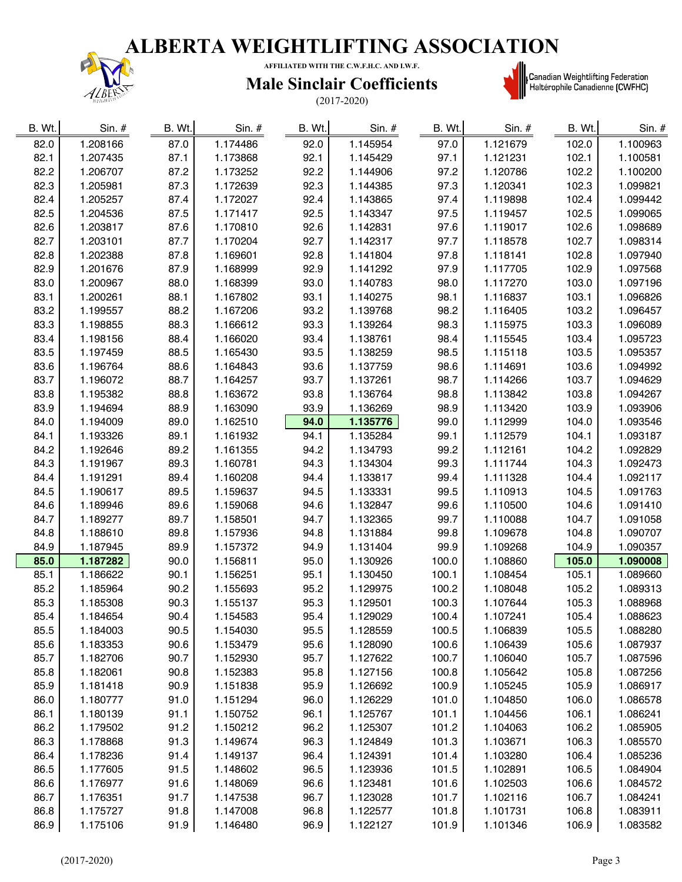

**AFFILIATED WITH THE C.W.F.H.C. AND I.W.F.**

### **Male Sinclair Coefficients**

(2017-2020)



| B. Wt. | $Sin.$ # | B. Wt. | $Sin.$ # | B. Wt. | Sin. #   | B. Wt. | Sin. #   | B. Wt. | Sin. #   |
|--------|----------|--------|----------|--------|----------|--------|----------|--------|----------|
| 82.0   | 1.208166 | 87.0   | 1.174486 | 92.0   | 1.145954 | 97.0   | 1.121679 | 102.0  | 1.100963 |
| 82.1   | 1.207435 | 87.1   | 1.173868 | 92.1   | 1.145429 | 97.1   | 1.121231 | 102.1  | 1.100581 |
| 82.2   | 1.206707 | 87.2   | 1.173252 | 92.2   | 1.144906 | 97.2   | 1.120786 | 102.2  | 1.100200 |
| 82.3   | 1.205981 | 87.3   | 1.172639 | 92.3   | 1.144385 | 97.3   | 1.120341 | 102.3  | 1.099821 |
| 82.4   | 1.205257 | 87.4   | 1.172027 | 92.4   | 1.143865 | 97.4   | 1.119898 | 102.4  | 1.099442 |
| 82.5   | 1.204536 | 87.5   | 1.171417 | 92.5   | 1.143347 | 97.5   | 1.119457 | 102.5  | 1.099065 |
| 82.6   | 1.203817 | 87.6   | 1.170810 | 92.6   | 1.142831 | 97.6   | 1.119017 | 102.6  | 1.098689 |
| 82.7   | 1.203101 | 87.7   | 1.170204 | 92.7   | 1.142317 | 97.7   | 1.118578 | 102.7  | 1.098314 |
| 82.8   | 1.202388 | 87.8   | 1.169601 | 92.8   | 1.141804 | 97.8   | 1.118141 | 102.8  | 1.097940 |
| 82.9   | 1.201676 | 87.9   | 1.168999 | 92.9   | 1.141292 | 97.9   | 1.117705 | 102.9  | 1.097568 |
| 83.0   | 1.200967 | 88.0   | 1.168399 | 93.0   | 1.140783 | 98.0   | 1.117270 | 103.0  | 1.097196 |
| 83.1   | 1.200261 | 88.1   | 1.167802 | 93.1   | 1.140275 | 98.1   | 1.116837 | 103.1  | 1.096826 |
| 83.2   | 1.199557 | 88.2   | 1.167206 | 93.2   | 1.139768 | 98.2   | 1.116405 | 103.2  | 1.096457 |
| 83.3   | 1.198855 | 88.3   | 1.166612 | 93.3   | 1.139264 | 98.3   | 1.115975 | 103.3  | 1.096089 |
| 83.4   | 1.198156 | 88.4   | 1.166020 | 93.4   | 1.138761 | 98.4   | 1.115545 | 103.4  | 1.095723 |
| 83.5   | 1.197459 | 88.5   | 1.165430 | 93.5   | 1.138259 | 98.5   | 1.115118 | 103.5  | 1.095357 |
| 83.6   | 1.196764 | 88.6   | 1.164843 | 93.6   | 1.137759 | 98.6   | 1.114691 | 103.6  | 1.094992 |
| 83.7   | 1.196072 | 88.7   | 1.164257 | 93.7   | 1.137261 | 98.7   | 1.114266 | 103.7  | 1.094629 |
| 83.8   | 1.195382 | 88.8   | 1.163672 | 93.8   | 1.136764 | 98.8   | 1.113842 | 103.8  | 1.094267 |
| 83.9   | 1.194694 | 88.9   | 1.163090 | 93.9   | 1.136269 | 98.9   | 1.113420 | 103.9  | 1.093906 |
| 84.0   | 1.194009 | 89.0   | 1.162510 | 94.0   | 1.135776 | 99.0   | 1.112999 | 104.0  | 1.093546 |
| 84.1   | 1.193326 | 89.1   | 1.161932 | 94.1   | 1.135284 | 99.1   | 1.112579 | 104.1  | 1.093187 |
| 84.2   | 1.192646 | 89.2   | 1.161355 | 94.2   | 1.134793 | 99.2   | 1.112161 | 104.2  | 1.092829 |
| 84.3   | 1.191967 | 89.3   | 1.160781 | 94.3   | 1.134304 | 99.3   | 1.111744 | 104.3  | 1.092473 |
| 84.4   | 1.191291 | 89.4   | 1.160208 | 94.4   | 1.133817 | 99.4   | 1.111328 | 104.4  | 1.092117 |
| 84.5   | 1.190617 | 89.5   | 1.159637 | 94.5   | 1.133331 | 99.5   | 1.110913 | 104.5  | 1.091763 |
| 84.6   | 1.189946 | 89.6   | 1.159068 | 94.6   | 1.132847 | 99.6   | 1.110500 | 104.6  | 1.091410 |
| 84.7   | 1.189277 | 89.7   | 1.158501 | 94.7   | 1.132365 | 99.7   | 1.110088 | 104.7  | 1.091058 |
| 84.8   | 1.188610 | 89.8   | 1.157936 | 94.8   | 1.131884 | 99.8   | 1.109678 | 104.8  | 1.090707 |
| 84.9   | 1.187945 | 89.9   | 1.157372 | 94.9   | 1.131404 | 99.9   | 1.109268 | 104.9  | 1.090357 |
| 85.0   | 1.187282 | 90.0   | 1.156811 | 95.0   | 1.130926 | 100.0  | 1.108860 | 105.0  | 1.090008 |
| 85.1   | 1.186622 | 90.1   | 1.156251 | 95.1   | 1.130450 | 100.1  | 1.108454 | 105.1  | 1.089660 |
| 85.2   | 1.185964 | 90.2   | 1.155693 | 95.2   | 1.129975 | 100.2  | 1.108048 | 105.2  | 1.089313 |
| 85.3   | 1.185308 | 90.3   | 1.155137 | 95.3   | 1.129501 | 100.3  | 1.107644 | 105.3  | 1.088968 |
| 85.4   | 1.184654 | 90.4   | 1.154583 | 95.4   | 1.129029 | 100.4  | 1.107241 | 105.4  | 1.088623 |
| 85.5   | 1.184003 | 90.5   | 1.154030 | 95.5   | 1.128559 | 100.5  | 1.106839 | 105.5  | 1.088280 |
| 85.6   | 1.183353 | 90.6   | 1.153479 | 95.6   | 1.128090 | 100.6  | 1.106439 | 105.6  | 1.087937 |
| 85.7   | 1.182706 | 90.7   | 1.152930 | 95.7   | 1.127622 | 100.7  | 1.106040 | 105.7  | 1.087596 |
| 85.8   | 1.182061 | 90.8   | 1.152383 | 95.8   | 1.127156 | 100.8  | 1.105642 | 105.8  | 1.087256 |
| 85.9   | 1.181418 | 90.9   | 1.151838 | 95.9   | 1.126692 | 100.9  | 1.105245 | 105.9  | 1.086917 |
| 86.0   | 1.180777 | 91.0   | 1.151294 | 96.0   | 1.126229 | 101.0  | 1.104850 | 106.0  | 1.086578 |
| 86.1   | 1.180139 | 91.1   | 1.150752 | 96.1   | 1.125767 | 101.1  | 1.104456 | 106.1  | 1.086241 |
| 86.2   | 1.179502 | 91.2   | 1.150212 | 96.2   | 1.125307 | 101.2  | 1.104063 | 106.2  | 1.085905 |
| 86.3   | 1.178868 | 91.3   | 1.149674 | 96.3   | 1.124849 | 101.3  | 1.103671 | 106.3  | 1.085570 |
| 86.4   | 1.178236 | 91.4   | 1.149137 | 96.4   | 1.124391 | 101.4  | 1.103280 | 106.4  | 1.085236 |
| 86.5   | 1.177605 | 91.5   | 1.148602 | 96.5   | 1.123936 | 101.5  | 1.102891 | 106.5  | 1.084904 |
| 86.6   | 1.176977 | 91.6   | 1.148069 | 96.6   | 1.123481 | 101.6  | 1.102503 | 106.6  | 1.084572 |
| 86.7   | 1.176351 | 91.7   | 1.147538 | 96.7   | 1.123028 | 101.7  | 1.102116 | 106.7  | 1.084241 |
| 86.8   | 1.175727 | 91.8   | 1.147008 | 96.8   | 1.122577 | 101.8  | 1.101731 | 106.8  | 1.083911 |
| 86.9   | 1.175106 | 91.9   | 1.146480 | 96.9   | 1.122127 | 101.9  | 1.101346 | 106.9  | 1.083582 |
|        |          |        |          |        |          |        |          |        |          |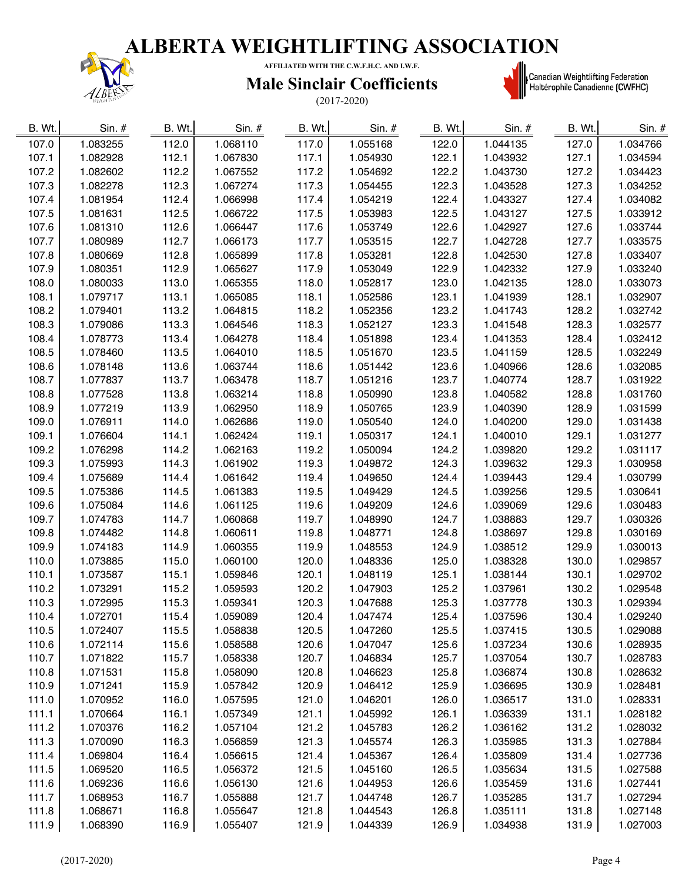

 $\blacksquare$ 

**AFFILIATED WITH THE C.W.F.H.C. AND I.W.F.**

### **Male Sinclair Coefficients**

(2017-2020)



**starting († 1818)**<br>| Canadian Weightlifting Federation<br>| Haltérophile Canadienne (CWFHC)

| B. Wt. | Sin. #   | B. Wt. | Sin. $#$ | B. Wt. | Sin. #   | B. Wt. | Sin. #   | B. Wt. | Sin. $#$ |
|--------|----------|--------|----------|--------|----------|--------|----------|--------|----------|
| 107.0  | 1.083255 | 112.0  | 1.068110 | 117.0  | 1.055168 | 122.0  | 1.044135 | 127.0  | 1.034766 |
| 107.1  | 1.082928 | 112.1  | 1.067830 | 117.1  | 1.054930 | 122.1  | 1.043932 | 127.1  | 1.034594 |
| 107.2  | 1.082602 | 112.2  | 1.067552 | 117.2  | 1.054692 | 122.2  | 1.043730 | 127.2  | 1.034423 |
| 107.3  | 1.082278 | 112.3  | 1.067274 | 117.3  | 1.054455 | 122.3  | 1.043528 | 127.3  | 1.034252 |
| 107.4  | 1.081954 | 112.4  | 1.066998 | 117.4  | 1.054219 | 122.4  | 1.043327 | 127.4  | 1.034082 |
| 107.5  | 1.081631 | 112.5  | 1.066722 | 117.5  | 1.053983 | 122.5  | 1.043127 | 127.5  | 1.033912 |
| 107.6  | 1.081310 | 112.6  | 1.066447 | 117.6  | 1.053749 | 122.6  | 1.042927 | 127.6  | 1.033744 |
| 107.7  | 1.080989 | 112.7  | 1.066173 | 117.7  | 1.053515 | 122.7  | 1.042728 | 127.7  | 1.033575 |
| 107.8  | 1.080669 | 112.8  | 1.065899 | 117.8  | 1.053281 | 122.8  | 1.042530 | 127.8  | 1.033407 |
| 107.9  | 1.080351 | 112.9  | 1.065627 | 117.9  | 1.053049 | 122.9  | 1.042332 | 127.9  | 1.033240 |
| 108.0  | 1.080033 | 113.0  | 1.065355 | 118.0  | 1.052817 | 123.0  | 1.042135 | 128.0  | 1.033073 |
| 108.1  | 1.079717 | 113.1  | 1.065085 | 118.1  | 1.052586 | 123.1  | 1.041939 | 128.1  | 1.032907 |
| 108.2  | 1.079401 | 113.2  | 1.064815 | 118.2  | 1.052356 | 123.2  | 1.041743 | 128.2  | 1.032742 |
| 108.3  | 1.079086 | 113.3  | 1.064546 | 118.3  | 1.052127 | 123.3  | 1.041548 | 128.3  | 1.032577 |
| 108.4  | 1.078773 | 113.4  | 1.064278 | 118.4  | 1.051898 | 123.4  | 1.041353 | 128.4  | 1.032412 |
| 108.5  | 1.078460 | 113.5  | 1.064010 | 118.5  | 1.051670 | 123.5  | 1.041159 | 128.5  | 1.032249 |
| 108.6  | 1.078148 | 113.6  | 1.063744 | 118.6  | 1.051442 | 123.6  | 1.040966 | 128.6  | 1.032085 |
| 108.7  | 1.077837 | 113.7  | 1.063478 | 118.7  | 1.051216 | 123.7  | 1.040774 | 128.7  | 1.031922 |
| 108.8  | 1.077528 | 113.8  | 1.063214 | 118.8  | 1.050990 | 123.8  | 1.040582 | 128.8  | 1.031760 |
| 108.9  | 1.077219 | 113.9  | 1.062950 | 118.9  | 1.050765 | 123.9  | 1.040390 | 128.9  | 1.031599 |
| 109.0  | 1.076911 | 114.0  | 1.062686 | 119.0  | 1.050540 | 124.0  | 1.040200 | 129.0  | 1.031438 |
| 109.1  | 1.076604 | 114.1  | 1.062424 | 119.1  | 1.050317 | 124.1  | 1.040010 | 129.1  | 1.031277 |
| 109.2  | 1.076298 | 114.2  | 1.062163 | 119.2  | 1.050094 | 124.2  | 1.039820 | 129.2  | 1.031117 |
| 109.3  | 1.075993 | 114.3  | 1.061902 | 119.3  | 1.049872 | 124.3  | 1.039632 | 129.3  | 1.030958 |
| 109.4  | 1.075689 | 114.4  | 1.061642 | 119.4  | 1.049650 | 124.4  | 1.039443 | 129.4  | 1.030799 |
| 109.5  | 1.075386 | 114.5  | 1.061383 | 119.5  | 1.049429 | 124.5  | 1.039256 | 129.5  | 1.030641 |
| 109.6  | 1.075084 | 114.6  | 1.061125 | 119.6  | 1.049209 | 124.6  | 1.039069 | 129.6  | 1.030483 |
| 109.7  | 1.074783 | 114.7  | 1.060868 | 119.7  | 1.048990 | 124.7  | 1.038883 | 129.7  | 1.030326 |
| 109.8  | 1.074482 | 114.8  | 1.060611 | 119.8  | 1.048771 | 124.8  | 1.038697 | 129.8  | 1.030169 |
| 109.9  | 1.074183 | 114.9  | 1.060355 | 119.9  | 1.048553 | 124.9  | 1.038512 | 129.9  | 1.030013 |
| 110.0  | 1.073885 | 115.0  | 1.060100 | 120.0  | 1.048336 | 125.0  | 1.038328 | 130.0  | 1.029857 |
| 110.1  | 1.073587 | 115.1  | 1.059846 | 120.1  | 1.048119 | 125.1  | 1.038144 | 130.1  | 1.029702 |
| 110.2  | 1.073291 | 115.2  | 1.059593 | 120.2  | 1.047903 | 125.2  | 1.037961 | 130.2  | 1.029548 |
| 110.3  | 1.072995 | 115.3  | 1.059341 | 120.3  | 1.047688 | 125.3  | 1.037778 | 130.3  | 1.029394 |
| 110.4  | 1.072701 | 115.4  | 1.059089 | 120.4  | 1.047474 | 125.4  | 1.037596 | 130.4  | 1.029240 |
| 110.5  | 1.072407 | 115.5  | 1.058838 | 120.5  | 1.047260 | 125.5  | 1.037415 | 130.5  | 1.029088 |
| 110.6  | 1.072114 | 115.6  | 1.058588 | 120.6  | 1.047047 | 125.6  | 1.037234 | 130.6  | 1.028935 |
| 110.7  | 1.071822 | 115.7  | 1.058338 | 120.7  | 1.046834 | 125.7  | 1.037054 | 130.7  | 1.028783 |
| 110.8  | 1.071531 | 115.8  | 1.058090 | 120.8  | 1.046623 | 125.8  | 1.036874 | 130.8  | 1.028632 |
| 110.9  | 1.071241 | 115.9  | 1.057842 | 120.9  | 1.046412 | 125.9  | 1.036695 | 130.9  | 1.028481 |
| 111.0  | 1.070952 | 116.0  | 1.057595 | 121.0  | 1.046201 | 126.0  | 1.036517 | 131.0  | 1.028331 |
| 111.1  | 1.070664 | 116.1  | 1.057349 | 121.1  | 1.045992 | 126.1  | 1.036339 | 131.1  | 1.028182 |
| 111.2  | 1.070376 | 116.2  | 1.057104 | 121.2  | 1.045783 | 126.2  | 1.036162 | 131.2  | 1.028032 |
| 111.3  | 1.070090 | 116.3  | 1.056859 | 121.3  | 1.045574 | 126.3  | 1.035985 | 131.3  | 1.027884 |
| 111.4  | 1.069804 | 116.4  | 1.056615 | 121.4  | 1.045367 | 126.4  | 1.035809 | 131.4  | 1.027736 |
| 111.5  | 1.069520 | 116.5  | 1.056372 | 121.5  | 1.045160 | 126.5  | 1.035634 | 131.5  | 1.027588 |
| 111.6  | 1.069236 | 116.6  | 1.056130 | 121.6  | 1.044953 | 126.6  | 1.035459 | 131.6  | 1.027441 |
| 111.7  | 1.068953 | 116.7  | 1.055888 | 121.7  | 1.044748 | 126.7  | 1.035285 | 131.7  | 1.027294 |
| 111.8  | 1.068671 | 116.8  | 1.055647 | 121.8  | 1.044543 | 126.8  | 1.035111 | 131.8  | 1.027148 |
| 111.9  | 1.068390 | 116.9  | 1.055407 | 121.9  | 1.044339 | 126.9  | 1.034938 | 131.9  | 1.027003 |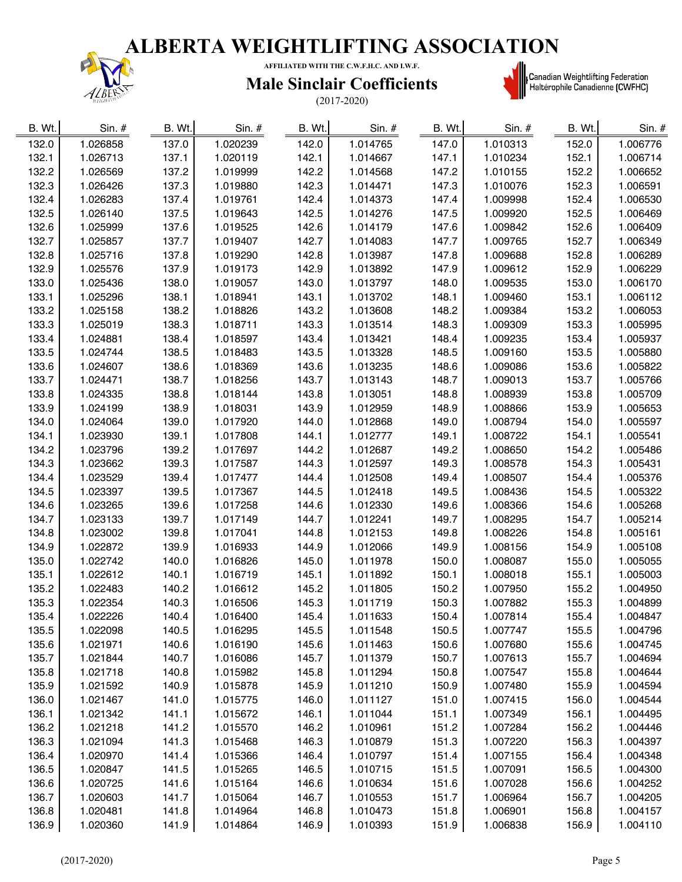

**AFFILIATED WITH THE C.W.F.H.C. AND I.W.F.**

### **Male Sinclair Coefficients**

(2017-2020)



**starting († 1818)**<br>| Canadian Weightlifting Federation<br>| Haltérophile Canadienne (CWFHC)

| 1.026858<br>1.020239<br>1.014765<br>1.010313<br>152.0<br>132.0<br>137.0<br>142.0<br>147.0<br>1.006776<br>132.1<br>1.010234<br>1.026713<br>137.1<br>1.020119<br>142.1<br>1.014667<br>147.1<br>152.1<br>1.006714<br>132.2<br>137.2<br>142.2<br>147.2<br>152.2<br>1.026569<br>1.019999<br>1.014568<br>1.010155<br>1.006652<br>132.3<br>137.3<br>142.3<br>147.3<br>1.026426<br>1.019880<br>1.014471<br>1.010076<br>152.3<br>1.006591<br>132.4<br>142.4<br>152.4<br>1.026283<br>137.4<br>1.019761<br>1.014373<br>147.4<br>1.009998<br>1.006530<br>132.5<br>142.5<br>147.5<br>152.5<br>1.026140<br>137.5<br>1.019643<br>1.014276<br>1.009920<br>1.006469<br>132.6<br>1.025999<br>137.6<br>142.6<br>1.014179<br>147.6<br>1.009842<br>152.6<br>1.006409<br>1.019525<br>132.7<br>142.7<br>147.7<br>152.7<br>1.025857<br>137.7<br>1.019407<br>1.014083<br>1.009765<br>1.006349<br>132.8<br>142.8<br>147.8<br>152.8<br>1.006289<br>1.025716<br>137.8<br>1.019290<br>1.013987<br>1.009688<br>132.9<br>137.9<br>142.9<br>147.9<br>1.009612<br>152.9<br>1.006229<br>1.025576<br>1.019173<br>1.013892<br>148.0<br>153.0<br>1.006170<br>133.0<br>1.025436<br>138.0<br>1.019057<br>143.0<br>1.013797<br>1.009535<br>143.1<br>148.1<br>1.009460<br>153.1<br>1.006112<br>133.1<br>1.025296<br>138.1<br>1.018941<br>1.013702<br>133.2<br>138.2<br>143.2<br>148.2<br>1.009384<br>153.2<br>1.006053<br>1.025158<br>1.018826<br>1.013608<br>138.3<br>143.3<br>148.3<br>133.3<br>1.025019<br>1.018711<br>1.013514<br>1.009309<br>153.3<br>1.005995<br>133.4<br>1.024881<br>138.4<br>143.4<br>1.013421<br>148.4<br>1.009235<br>153.4<br>1.005937<br>1.018597<br>143.5<br>133.5<br>1.024744<br>138.5<br>1.013328<br>148.5<br>1.009160<br>153.5<br>1.005880<br>1.018483<br>133.6<br>138.6<br>143.6<br>148.6<br>153.6<br>1.005822<br>1.024607<br>1.018369<br>1.013235<br>1.009086<br>133.7<br>138.7<br>143.7<br>148.7<br>153.7<br>1.005766<br>1.024471<br>1.018256<br>1.013143<br>1.009013<br>133.8<br>138.8<br>143.8<br>1.013051<br>148.8<br>153.8<br>1.005709<br>1.024335<br>1.018144<br>1.008939<br>143.9<br>148.9<br>153.9<br>1.005653<br>133.9<br>1.024199<br>138.9<br>1.018031<br>1.012959<br>1.008866<br>139.0<br>149.0<br>1.005597<br>134.0<br>1.024064<br>1.017920<br>144.0<br>1.012868<br>1.008794<br>154.0<br>139.1<br>1.012777<br>149.1<br>1.005541<br>134.1<br>1.023930<br>1.017808<br>144.1<br>1.008722<br>154.1<br>149.2<br>1.008650<br>1.005486<br>134.2<br>1.023796<br>139.2<br>1.017697<br>144.2<br>1.012687<br>154.2<br>139.3<br>149.3<br>1.005431<br>134.3<br>1.023662<br>1.017587<br>144.3<br>1.012597<br>1.008578<br>154.3<br>149.4<br>134.4<br>1.023529<br>139.4<br>1.017477<br>144.4<br>1.012508<br>1.008507<br>154.4<br>1.005376<br>139.5<br>149.5<br>134.5<br>1.023397<br>1.017367<br>144.5<br>1.012418<br>1.008436<br>154.5<br>1.005322<br>139.6<br>149.6<br>1.008366<br>134.6<br>1.023265<br>1.017258<br>144.6<br>1.012330<br>154.6<br>1.005268<br>139.7<br>149.7<br>134.7<br>1.023133<br>1.017149<br>144.7<br>1.012241<br>1.008295<br>154.7<br>1.005214<br>134.8<br>144.8<br>149.8<br>1.023002<br>139.8<br>1.017041<br>1.012153<br>1.008226<br>154.8<br>1.005161<br>134.9<br>139.9<br>144.9<br>149.9<br>1.022872<br>1.016933<br>1.012066<br>1.008156<br>154.9<br>1.005108<br>135.0<br>145.0<br>155.0<br>1.022742<br>140.0<br>1.016826<br>1.011978<br>150.0<br>1.008087<br>1.005055<br>135.1<br>140.1<br>145.1<br>1.011892<br>150.1<br>1.008018<br>155.1<br>1.005003<br>1.022612<br>1.016719<br>135.2<br>1.004950<br>1.022483<br>140.2<br>1.016612<br>145.2<br>1.011805<br>150.2<br>1.007950<br>155.2<br>135.3<br>140.3<br>145.3<br>150.3<br>1.007882<br>155.3<br>1.004899<br>1.022354<br>1.016506<br>1.011719<br>135.4<br>150.4<br>155.4<br>1.022226<br>1.016400<br>145.4<br>1.011633<br>1.007814<br>1.004847<br>140.4<br>135.5<br>140.5<br>150.5<br>1.016295<br>145.5<br>1.011548<br>1.007747<br>155.5<br>1.004796<br>1.022098<br>135.6<br>140.6<br>145.6<br>1.011463<br>150.6<br>155.6<br>1.021971<br>1.016190<br>1.007680<br>1.004745<br>135.7<br>140.7<br>155.7<br>1.021844<br>1.016086<br>145.7<br>1.011379<br>150.7<br>1.007613<br>1.004694<br>135.8<br>140.8<br>145.8<br>150.8<br>155.8<br>1.021718<br>1.015982<br>1.011294<br>1.007547<br>1.004644<br>135.9<br>140.9<br>145.9<br>150.9<br>155.9<br>1.004594<br>1.021592<br>1.015878<br>1.011210<br>1.007480<br>136.0<br>141.0<br>146.0<br>151.0<br>156.0<br>1.021467<br>1.015775<br>1.011127<br>1.007415<br>1.004544<br>136.1<br>141.1<br>146.1<br>151.1<br>1.021342<br>1.015672<br>1.011044<br>1.007349<br>156.1<br>1.004495<br>136.2<br>141.2<br>146.2<br>151.2<br>156.2<br>1.021218<br>1.015570<br>1.010961<br>1.007284<br>1.004446<br>136.3<br>146.3<br>151.3<br>156.3<br>1.021094<br>141.3<br>1.015468<br>1.010879<br>1.007220<br>1.004397<br>136.4<br>146.4<br>151.4<br>156.4<br>1.004348<br>1.020970<br>141.4<br>1.015366<br>1.010797<br>1.007155<br>136.5<br>146.5<br>151.5<br>156.5<br>1.004300<br>1.020847<br>141.5<br>1.015265<br>1.010715<br>1.007091<br>136.6<br>146.6<br>151.6<br>156.6<br>1.004252<br>1.020725<br>141.6<br>1.015164<br>1.010634<br>1.007028<br>136.7<br>141.7<br>146.7<br>151.7<br>156.7<br>1.004205<br>1.020603<br>1.015064<br>1.010553<br>1.006964<br>136.8<br>141.8<br>146.8<br>151.8<br>1.006901<br>156.8<br>1.004157<br>1.020481<br>1.014964<br>1.010473<br>136.9<br>1.020360<br>141.9<br>1.014864<br>146.9<br>1.010393<br>151.9<br>1.006838<br>156.9<br>1.004110 | B. Wt. | Sin. # | B. Wt. | Sin. # | B. Wt. | $Sin.$ # | B. Wt. | Sin. # | B. Wt. | Sin. # |
|----------------------------------------------------------------------------------------------------------------------------------------------------------------------------------------------------------------------------------------------------------------------------------------------------------------------------------------------------------------------------------------------------------------------------------------------------------------------------------------------------------------------------------------------------------------------------------------------------------------------------------------------------------------------------------------------------------------------------------------------------------------------------------------------------------------------------------------------------------------------------------------------------------------------------------------------------------------------------------------------------------------------------------------------------------------------------------------------------------------------------------------------------------------------------------------------------------------------------------------------------------------------------------------------------------------------------------------------------------------------------------------------------------------------------------------------------------------------------------------------------------------------------------------------------------------------------------------------------------------------------------------------------------------------------------------------------------------------------------------------------------------------------------------------------------------------------------------------------------------------------------------------------------------------------------------------------------------------------------------------------------------------------------------------------------------------------------------------------------------------------------------------------------------------------------------------------------------------------------------------------------------------------------------------------------------------------------------------------------------------------------------------------------------------------------------------------------------------------------------------------------------------------------------------------------------------------------------------------------------------------------------------------------------------------------------------------------------------------------------------------------------------------------------------------------------------------------------------------------------------------------------------------------------------------------------------------------------------------------------------------------------------------------------------------------------------------------------------------------------------------------------------------------------------------------------------------------------------------------------------------------------------------------------------------------------------------------------------------------------------------------------------------------------------------------------------------------------------------------------------------------------------------------------------------------------------------------------------------------------------------------------------------------------------------------------------------------------------------------------------------------------------------------------------------------------------------------------------------------------------------------------------------------------------------------------------------------------------------------------------------------------------------------------------------------------------------------------------------------------------------------------------------------------------------------------------------------------------------------------------------------------------------------------------------------------------------------------------------------------------------------------------------------------------------------------------------------------------------------------------------------------------------------------------------------------------------------------------------------------------------------------------------------------------------------------------------------------------------------------------------------------------------------------------------------------------------------------------------------------------------------------------------------------------------------------------------------------------------------------------------------------------------------------------------------------------------------------------------------------------------------------------------------------------------------------------------------------------------------------------------------------------------------------------------------------------------------------------------------------------------------------------------------------------------------------------------------------|--------|--------|--------|--------|--------|----------|--------|--------|--------|--------|
|                                                                                                                                                                                                                                                                                                                                                                                                                                                                                                                                                                                                                                                                                                                                                                                                                                                                                                                                                                                                                                                                                                                                                                                                                                                                                                                                                                                                                                                                                                                                                                                                                                                                                                                                                                                                                                                                                                                                                                                                                                                                                                                                                                                                                                                                                                                                                                                                                                                                                                                                                                                                                                                                                                                                                                                                                                                                                                                                                                                                                                                                                                                                                                                                                                                                                                                                                                                                                                                                                                                                                                                                                                                                                                                                                                                                                                                                                                                                                                                                                                                                                                                                                                                                                                                                                                                                                                                                                                                                                                                                                                                                                                                                                                                                                                                                                                                                                                                                                                                                                                                                                                                                                                                                                                                                                                                                                                                                                                                                |        |        |        |        |        |          |        |        |        |        |
|                                                                                                                                                                                                                                                                                                                                                                                                                                                                                                                                                                                                                                                                                                                                                                                                                                                                                                                                                                                                                                                                                                                                                                                                                                                                                                                                                                                                                                                                                                                                                                                                                                                                                                                                                                                                                                                                                                                                                                                                                                                                                                                                                                                                                                                                                                                                                                                                                                                                                                                                                                                                                                                                                                                                                                                                                                                                                                                                                                                                                                                                                                                                                                                                                                                                                                                                                                                                                                                                                                                                                                                                                                                                                                                                                                                                                                                                                                                                                                                                                                                                                                                                                                                                                                                                                                                                                                                                                                                                                                                                                                                                                                                                                                                                                                                                                                                                                                                                                                                                                                                                                                                                                                                                                                                                                                                                                                                                                                                                |        |        |        |        |        |          |        |        |        |        |
|                                                                                                                                                                                                                                                                                                                                                                                                                                                                                                                                                                                                                                                                                                                                                                                                                                                                                                                                                                                                                                                                                                                                                                                                                                                                                                                                                                                                                                                                                                                                                                                                                                                                                                                                                                                                                                                                                                                                                                                                                                                                                                                                                                                                                                                                                                                                                                                                                                                                                                                                                                                                                                                                                                                                                                                                                                                                                                                                                                                                                                                                                                                                                                                                                                                                                                                                                                                                                                                                                                                                                                                                                                                                                                                                                                                                                                                                                                                                                                                                                                                                                                                                                                                                                                                                                                                                                                                                                                                                                                                                                                                                                                                                                                                                                                                                                                                                                                                                                                                                                                                                                                                                                                                                                                                                                                                                                                                                                                                                |        |        |        |        |        |          |        |        |        |        |
|                                                                                                                                                                                                                                                                                                                                                                                                                                                                                                                                                                                                                                                                                                                                                                                                                                                                                                                                                                                                                                                                                                                                                                                                                                                                                                                                                                                                                                                                                                                                                                                                                                                                                                                                                                                                                                                                                                                                                                                                                                                                                                                                                                                                                                                                                                                                                                                                                                                                                                                                                                                                                                                                                                                                                                                                                                                                                                                                                                                                                                                                                                                                                                                                                                                                                                                                                                                                                                                                                                                                                                                                                                                                                                                                                                                                                                                                                                                                                                                                                                                                                                                                                                                                                                                                                                                                                                                                                                                                                                                                                                                                                                                                                                                                                                                                                                                                                                                                                                                                                                                                                                                                                                                                                                                                                                                                                                                                                                                                |        |        |        |        |        |          |        |        |        |        |
|                                                                                                                                                                                                                                                                                                                                                                                                                                                                                                                                                                                                                                                                                                                                                                                                                                                                                                                                                                                                                                                                                                                                                                                                                                                                                                                                                                                                                                                                                                                                                                                                                                                                                                                                                                                                                                                                                                                                                                                                                                                                                                                                                                                                                                                                                                                                                                                                                                                                                                                                                                                                                                                                                                                                                                                                                                                                                                                                                                                                                                                                                                                                                                                                                                                                                                                                                                                                                                                                                                                                                                                                                                                                                                                                                                                                                                                                                                                                                                                                                                                                                                                                                                                                                                                                                                                                                                                                                                                                                                                                                                                                                                                                                                                                                                                                                                                                                                                                                                                                                                                                                                                                                                                                                                                                                                                                                                                                                                                                |        |        |        |        |        |          |        |        |        |        |
|                                                                                                                                                                                                                                                                                                                                                                                                                                                                                                                                                                                                                                                                                                                                                                                                                                                                                                                                                                                                                                                                                                                                                                                                                                                                                                                                                                                                                                                                                                                                                                                                                                                                                                                                                                                                                                                                                                                                                                                                                                                                                                                                                                                                                                                                                                                                                                                                                                                                                                                                                                                                                                                                                                                                                                                                                                                                                                                                                                                                                                                                                                                                                                                                                                                                                                                                                                                                                                                                                                                                                                                                                                                                                                                                                                                                                                                                                                                                                                                                                                                                                                                                                                                                                                                                                                                                                                                                                                                                                                                                                                                                                                                                                                                                                                                                                                                                                                                                                                                                                                                                                                                                                                                                                                                                                                                                                                                                                                                                |        |        |        |        |        |          |        |        |        |        |
|                                                                                                                                                                                                                                                                                                                                                                                                                                                                                                                                                                                                                                                                                                                                                                                                                                                                                                                                                                                                                                                                                                                                                                                                                                                                                                                                                                                                                                                                                                                                                                                                                                                                                                                                                                                                                                                                                                                                                                                                                                                                                                                                                                                                                                                                                                                                                                                                                                                                                                                                                                                                                                                                                                                                                                                                                                                                                                                                                                                                                                                                                                                                                                                                                                                                                                                                                                                                                                                                                                                                                                                                                                                                                                                                                                                                                                                                                                                                                                                                                                                                                                                                                                                                                                                                                                                                                                                                                                                                                                                                                                                                                                                                                                                                                                                                                                                                                                                                                                                                                                                                                                                                                                                                                                                                                                                                                                                                                                                                |        |        |        |        |        |          |        |        |        |        |
|                                                                                                                                                                                                                                                                                                                                                                                                                                                                                                                                                                                                                                                                                                                                                                                                                                                                                                                                                                                                                                                                                                                                                                                                                                                                                                                                                                                                                                                                                                                                                                                                                                                                                                                                                                                                                                                                                                                                                                                                                                                                                                                                                                                                                                                                                                                                                                                                                                                                                                                                                                                                                                                                                                                                                                                                                                                                                                                                                                                                                                                                                                                                                                                                                                                                                                                                                                                                                                                                                                                                                                                                                                                                                                                                                                                                                                                                                                                                                                                                                                                                                                                                                                                                                                                                                                                                                                                                                                                                                                                                                                                                                                                                                                                                                                                                                                                                                                                                                                                                                                                                                                                                                                                                                                                                                                                                                                                                                                                                |        |        |        |        |        |          |        |        |        |        |
|                                                                                                                                                                                                                                                                                                                                                                                                                                                                                                                                                                                                                                                                                                                                                                                                                                                                                                                                                                                                                                                                                                                                                                                                                                                                                                                                                                                                                                                                                                                                                                                                                                                                                                                                                                                                                                                                                                                                                                                                                                                                                                                                                                                                                                                                                                                                                                                                                                                                                                                                                                                                                                                                                                                                                                                                                                                                                                                                                                                                                                                                                                                                                                                                                                                                                                                                                                                                                                                                                                                                                                                                                                                                                                                                                                                                                                                                                                                                                                                                                                                                                                                                                                                                                                                                                                                                                                                                                                                                                                                                                                                                                                                                                                                                                                                                                                                                                                                                                                                                                                                                                                                                                                                                                                                                                                                                                                                                                                                                |        |        |        |        |        |          |        |        |        |        |
|                                                                                                                                                                                                                                                                                                                                                                                                                                                                                                                                                                                                                                                                                                                                                                                                                                                                                                                                                                                                                                                                                                                                                                                                                                                                                                                                                                                                                                                                                                                                                                                                                                                                                                                                                                                                                                                                                                                                                                                                                                                                                                                                                                                                                                                                                                                                                                                                                                                                                                                                                                                                                                                                                                                                                                                                                                                                                                                                                                                                                                                                                                                                                                                                                                                                                                                                                                                                                                                                                                                                                                                                                                                                                                                                                                                                                                                                                                                                                                                                                                                                                                                                                                                                                                                                                                                                                                                                                                                                                                                                                                                                                                                                                                                                                                                                                                                                                                                                                                                                                                                                                                                                                                                                                                                                                                                                                                                                                                                                |        |        |        |        |        |          |        |        |        |        |
|                                                                                                                                                                                                                                                                                                                                                                                                                                                                                                                                                                                                                                                                                                                                                                                                                                                                                                                                                                                                                                                                                                                                                                                                                                                                                                                                                                                                                                                                                                                                                                                                                                                                                                                                                                                                                                                                                                                                                                                                                                                                                                                                                                                                                                                                                                                                                                                                                                                                                                                                                                                                                                                                                                                                                                                                                                                                                                                                                                                                                                                                                                                                                                                                                                                                                                                                                                                                                                                                                                                                                                                                                                                                                                                                                                                                                                                                                                                                                                                                                                                                                                                                                                                                                                                                                                                                                                                                                                                                                                                                                                                                                                                                                                                                                                                                                                                                                                                                                                                                                                                                                                                                                                                                                                                                                                                                                                                                                                                                |        |        |        |        |        |          |        |        |        |        |
|                                                                                                                                                                                                                                                                                                                                                                                                                                                                                                                                                                                                                                                                                                                                                                                                                                                                                                                                                                                                                                                                                                                                                                                                                                                                                                                                                                                                                                                                                                                                                                                                                                                                                                                                                                                                                                                                                                                                                                                                                                                                                                                                                                                                                                                                                                                                                                                                                                                                                                                                                                                                                                                                                                                                                                                                                                                                                                                                                                                                                                                                                                                                                                                                                                                                                                                                                                                                                                                                                                                                                                                                                                                                                                                                                                                                                                                                                                                                                                                                                                                                                                                                                                                                                                                                                                                                                                                                                                                                                                                                                                                                                                                                                                                                                                                                                                                                                                                                                                                                                                                                                                                                                                                                                                                                                                                                                                                                                                                                |        |        |        |        |        |          |        |        |        |        |
|                                                                                                                                                                                                                                                                                                                                                                                                                                                                                                                                                                                                                                                                                                                                                                                                                                                                                                                                                                                                                                                                                                                                                                                                                                                                                                                                                                                                                                                                                                                                                                                                                                                                                                                                                                                                                                                                                                                                                                                                                                                                                                                                                                                                                                                                                                                                                                                                                                                                                                                                                                                                                                                                                                                                                                                                                                                                                                                                                                                                                                                                                                                                                                                                                                                                                                                                                                                                                                                                                                                                                                                                                                                                                                                                                                                                                                                                                                                                                                                                                                                                                                                                                                                                                                                                                                                                                                                                                                                                                                                                                                                                                                                                                                                                                                                                                                                                                                                                                                                                                                                                                                                                                                                                                                                                                                                                                                                                                                                                |        |        |        |        |        |          |        |        |        |        |
|                                                                                                                                                                                                                                                                                                                                                                                                                                                                                                                                                                                                                                                                                                                                                                                                                                                                                                                                                                                                                                                                                                                                                                                                                                                                                                                                                                                                                                                                                                                                                                                                                                                                                                                                                                                                                                                                                                                                                                                                                                                                                                                                                                                                                                                                                                                                                                                                                                                                                                                                                                                                                                                                                                                                                                                                                                                                                                                                                                                                                                                                                                                                                                                                                                                                                                                                                                                                                                                                                                                                                                                                                                                                                                                                                                                                                                                                                                                                                                                                                                                                                                                                                                                                                                                                                                                                                                                                                                                                                                                                                                                                                                                                                                                                                                                                                                                                                                                                                                                                                                                                                                                                                                                                                                                                                                                                                                                                                                                                |        |        |        |        |        |          |        |        |        |        |
|                                                                                                                                                                                                                                                                                                                                                                                                                                                                                                                                                                                                                                                                                                                                                                                                                                                                                                                                                                                                                                                                                                                                                                                                                                                                                                                                                                                                                                                                                                                                                                                                                                                                                                                                                                                                                                                                                                                                                                                                                                                                                                                                                                                                                                                                                                                                                                                                                                                                                                                                                                                                                                                                                                                                                                                                                                                                                                                                                                                                                                                                                                                                                                                                                                                                                                                                                                                                                                                                                                                                                                                                                                                                                                                                                                                                                                                                                                                                                                                                                                                                                                                                                                                                                                                                                                                                                                                                                                                                                                                                                                                                                                                                                                                                                                                                                                                                                                                                                                                                                                                                                                                                                                                                                                                                                                                                                                                                                                                                |        |        |        |        |        |          |        |        |        |        |
|                                                                                                                                                                                                                                                                                                                                                                                                                                                                                                                                                                                                                                                                                                                                                                                                                                                                                                                                                                                                                                                                                                                                                                                                                                                                                                                                                                                                                                                                                                                                                                                                                                                                                                                                                                                                                                                                                                                                                                                                                                                                                                                                                                                                                                                                                                                                                                                                                                                                                                                                                                                                                                                                                                                                                                                                                                                                                                                                                                                                                                                                                                                                                                                                                                                                                                                                                                                                                                                                                                                                                                                                                                                                                                                                                                                                                                                                                                                                                                                                                                                                                                                                                                                                                                                                                                                                                                                                                                                                                                                                                                                                                                                                                                                                                                                                                                                                                                                                                                                                                                                                                                                                                                                                                                                                                                                                                                                                                                                                |        |        |        |        |        |          |        |        |        |        |
|                                                                                                                                                                                                                                                                                                                                                                                                                                                                                                                                                                                                                                                                                                                                                                                                                                                                                                                                                                                                                                                                                                                                                                                                                                                                                                                                                                                                                                                                                                                                                                                                                                                                                                                                                                                                                                                                                                                                                                                                                                                                                                                                                                                                                                                                                                                                                                                                                                                                                                                                                                                                                                                                                                                                                                                                                                                                                                                                                                                                                                                                                                                                                                                                                                                                                                                                                                                                                                                                                                                                                                                                                                                                                                                                                                                                                                                                                                                                                                                                                                                                                                                                                                                                                                                                                                                                                                                                                                                                                                                                                                                                                                                                                                                                                                                                                                                                                                                                                                                                                                                                                                                                                                                                                                                                                                                                                                                                                                                                |        |        |        |        |        |          |        |        |        |        |
|                                                                                                                                                                                                                                                                                                                                                                                                                                                                                                                                                                                                                                                                                                                                                                                                                                                                                                                                                                                                                                                                                                                                                                                                                                                                                                                                                                                                                                                                                                                                                                                                                                                                                                                                                                                                                                                                                                                                                                                                                                                                                                                                                                                                                                                                                                                                                                                                                                                                                                                                                                                                                                                                                                                                                                                                                                                                                                                                                                                                                                                                                                                                                                                                                                                                                                                                                                                                                                                                                                                                                                                                                                                                                                                                                                                                                                                                                                                                                                                                                                                                                                                                                                                                                                                                                                                                                                                                                                                                                                                                                                                                                                                                                                                                                                                                                                                                                                                                                                                                                                                                                                                                                                                                                                                                                                                                                                                                                                                                |        |        |        |        |        |          |        |        |        |        |
|                                                                                                                                                                                                                                                                                                                                                                                                                                                                                                                                                                                                                                                                                                                                                                                                                                                                                                                                                                                                                                                                                                                                                                                                                                                                                                                                                                                                                                                                                                                                                                                                                                                                                                                                                                                                                                                                                                                                                                                                                                                                                                                                                                                                                                                                                                                                                                                                                                                                                                                                                                                                                                                                                                                                                                                                                                                                                                                                                                                                                                                                                                                                                                                                                                                                                                                                                                                                                                                                                                                                                                                                                                                                                                                                                                                                                                                                                                                                                                                                                                                                                                                                                                                                                                                                                                                                                                                                                                                                                                                                                                                                                                                                                                                                                                                                                                                                                                                                                                                                                                                                                                                                                                                                                                                                                                                                                                                                                                                                |        |        |        |        |        |          |        |        |        |        |
|                                                                                                                                                                                                                                                                                                                                                                                                                                                                                                                                                                                                                                                                                                                                                                                                                                                                                                                                                                                                                                                                                                                                                                                                                                                                                                                                                                                                                                                                                                                                                                                                                                                                                                                                                                                                                                                                                                                                                                                                                                                                                                                                                                                                                                                                                                                                                                                                                                                                                                                                                                                                                                                                                                                                                                                                                                                                                                                                                                                                                                                                                                                                                                                                                                                                                                                                                                                                                                                                                                                                                                                                                                                                                                                                                                                                                                                                                                                                                                                                                                                                                                                                                                                                                                                                                                                                                                                                                                                                                                                                                                                                                                                                                                                                                                                                                                                                                                                                                                                                                                                                                                                                                                                                                                                                                                                                                                                                                                                                |        |        |        |        |        |          |        |        |        |        |
|                                                                                                                                                                                                                                                                                                                                                                                                                                                                                                                                                                                                                                                                                                                                                                                                                                                                                                                                                                                                                                                                                                                                                                                                                                                                                                                                                                                                                                                                                                                                                                                                                                                                                                                                                                                                                                                                                                                                                                                                                                                                                                                                                                                                                                                                                                                                                                                                                                                                                                                                                                                                                                                                                                                                                                                                                                                                                                                                                                                                                                                                                                                                                                                                                                                                                                                                                                                                                                                                                                                                                                                                                                                                                                                                                                                                                                                                                                                                                                                                                                                                                                                                                                                                                                                                                                                                                                                                                                                                                                                                                                                                                                                                                                                                                                                                                                                                                                                                                                                                                                                                                                                                                                                                                                                                                                                                                                                                                                                                |        |        |        |        |        |          |        |        |        |        |
|                                                                                                                                                                                                                                                                                                                                                                                                                                                                                                                                                                                                                                                                                                                                                                                                                                                                                                                                                                                                                                                                                                                                                                                                                                                                                                                                                                                                                                                                                                                                                                                                                                                                                                                                                                                                                                                                                                                                                                                                                                                                                                                                                                                                                                                                                                                                                                                                                                                                                                                                                                                                                                                                                                                                                                                                                                                                                                                                                                                                                                                                                                                                                                                                                                                                                                                                                                                                                                                                                                                                                                                                                                                                                                                                                                                                                                                                                                                                                                                                                                                                                                                                                                                                                                                                                                                                                                                                                                                                                                                                                                                                                                                                                                                                                                                                                                                                                                                                                                                                                                                                                                                                                                                                                                                                                                                                                                                                                                                                |        |        |        |        |        |          |        |        |        |        |
|                                                                                                                                                                                                                                                                                                                                                                                                                                                                                                                                                                                                                                                                                                                                                                                                                                                                                                                                                                                                                                                                                                                                                                                                                                                                                                                                                                                                                                                                                                                                                                                                                                                                                                                                                                                                                                                                                                                                                                                                                                                                                                                                                                                                                                                                                                                                                                                                                                                                                                                                                                                                                                                                                                                                                                                                                                                                                                                                                                                                                                                                                                                                                                                                                                                                                                                                                                                                                                                                                                                                                                                                                                                                                                                                                                                                                                                                                                                                                                                                                                                                                                                                                                                                                                                                                                                                                                                                                                                                                                                                                                                                                                                                                                                                                                                                                                                                                                                                                                                                                                                                                                                                                                                                                                                                                                                                                                                                                                                                |        |        |        |        |        |          |        |        |        |        |
|                                                                                                                                                                                                                                                                                                                                                                                                                                                                                                                                                                                                                                                                                                                                                                                                                                                                                                                                                                                                                                                                                                                                                                                                                                                                                                                                                                                                                                                                                                                                                                                                                                                                                                                                                                                                                                                                                                                                                                                                                                                                                                                                                                                                                                                                                                                                                                                                                                                                                                                                                                                                                                                                                                                                                                                                                                                                                                                                                                                                                                                                                                                                                                                                                                                                                                                                                                                                                                                                                                                                                                                                                                                                                                                                                                                                                                                                                                                                                                                                                                                                                                                                                                                                                                                                                                                                                                                                                                                                                                                                                                                                                                                                                                                                                                                                                                                                                                                                                                                                                                                                                                                                                                                                                                                                                                                                                                                                                                                                |        |        |        |        |        |          |        |        |        |        |
|                                                                                                                                                                                                                                                                                                                                                                                                                                                                                                                                                                                                                                                                                                                                                                                                                                                                                                                                                                                                                                                                                                                                                                                                                                                                                                                                                                                                                                                                                                                                                                                                                                                                                                                                                                                                                                                                                                                                                                                                                                                                                                                                                                                                                                                                                                                                                                                                                                                                                                                                                                                                                                                                                                                                                                                                                                                                                                                                                                                                                                                                                                                                                                                                                                                                                                                                                                                                                                                                                                                                                                                                                                                                                                                                                                                                                                                                                                                                                                                                                                                                                                                                                                                                                                                                                                                                                                                                                                                                                                                                                                                                                                                                                                                                                                                                                                                                                                                                                                                                                                                                                                                                                                                                                                                                                                                                                                                                                                                                |        |        |        |        |        |          |        |        |        |        |
|                                                                                                                                                                                                                                                                                                                                                                                                                                                                                                                                                                                                                                                                                                                                                                                                                                                                                                                                                                                                                                                                                                                                                                                                                                                                                                                                                                                                                                                                                                                                                                                                                                                                                                                                                                                                                                                                                                                                                                                                                                                                                                                                                                                                                                                                                                                                                                                                                                                                                                                                                                                                                                                                                                                                                                                                                                                                                                                                                                                                                                                                                                                                                                                                                                                                                                                                                                                                                                                                                                                                                                                                                                                                                                                                                                                                                                                                                                                                                                                                                                                                                                                                                                                                                                                                                                                                                                                                                                                                                                                                                                                                                                                                                                                                                                                                                                                                                                                                                                                                                                                                                                                                                                                                                                                                                                                                                                                                                                                                |        |        |        |        |        |          |        |        |        |        |
|                                                                                                                                                                                                                                                                                                                                                                                                                                                                                                                                                                                                                                                                                                                                                                                                                                                                                                                                                                                                                                                                                                                                                                                                                                                                                                                                                                                                                                                                                                                                                                                                                                                                                                                                                                                                                                                                                                                                                                                                                                                                                                                                                                                                                                                                                                                                                                                                                                                                                                                                                                                                                                                                                                                                                                                                                                                                                                                                                                                                                                                                                                                                                                                                                                                                                                                                                                                                                                                                                                                                                                                                                                                                                                                                                                                                                                                                                                                                                                                                                                                                                                                                                                                                                                                                                                                                                                                                                                                                                                                                                                                                                                                                                                                                                                                                                                                                                                                                                                                                                                                                                                                                                                                                                                                                                                                                                                                                                                                                |        |        |        |        |        |          |        |        |        |        |
|                                                                                                                                                                                                                                                                                                                                                                                                                                                                                                                                                                                                                                                                                                                                                                                                                                                                                                                                                                                                                                                                                                                                                                                                                                                                                                                                                                                                                                                                                                                                                                                                                                                                                                                                                                                                                                                                                                                                                                                                                                                                                                                                                                                                                                                                                                                                                                                                                                                                                                                                                                                                                                                                                                                                                                                                                                                                                                                                                                                                                                                                                                                                                                                                                                                                                                                                                                                                                                                                                                                                                                                                                                                                                                                                                                                                                                                                                                                                                                                                                                                                                                                                                                                                                                                                                                                                                                                                                                                                                                                                                                                                                                                                                                                                                                                                                                                                                                                                                                                                                                                                                                                                                                                                                                                                                                                                                                                                                                                                |        |        |        |        |        |          |        |        |        |        |
|                                                                                                                                                                                                                                                                                                                                                                                                                                                                                                                                                                                                                                                                                                                                                                                                                                                                                                                                                                                                                                                                                                                                                                                                                                                                                                                                                                                                                                                                                                                                                                                                                                                                                                                                                                                                                                                                                                                                                                                                                                                                                                                                                                                                                                                                                                                                                                                                                                                                                                                                                                                                                                                                                                                                                                                                                                                                                                                                                                                                                                                                                                                                                                                                                                                                                                                                                                                                                                                                                                                                                                                                                                                                                                                                                                                                                                                                                                                                                                                                                                                                                                                                                                                                                                                                                                                                                                                                                                                                                                                                                                                                                                                                                                                                                                                                                                                                                                                                                                                                                                                                                                                                                                                                                                                                                                                                                                                                                                                                |        |        |        |        |        |          |        |        |        |        |
|                                                                                                                                                                                                                                                                                                                                                                                                                                                                                                                                                                                                                                                                                                                                                                                                                                                                                                                                                                                                                                                                                                                                                                                                                                                                                                                                                                                                                                                                                                                                                                                                                                                                                                                                                                                                                                                                                                                                                                                                                                                                                                                                                                                                                                                                                                                                                                                                                                                                                                                                                                                                                                                                                                                                                                                                                                                                                                                                                                                                                                                                                                                                                                                                                                                                                                                                                                                                                                                                                                                                                                                                                                                                                                                                                                                                                                                                                                                                                                                                                                                                                                                                                                                                                                                                                                                                                                                                                                                                                                                                                                                                                                                                                                                                                                                                                                                                                                                                                                                                                                                                                                                                                                                                                                                                                                                                                                                                                                                                |        |        |        |        |        |          |        |        |        |        |
|                                                                                                                                                                                                                                                                                                                                                                                                                                                                                                                                                                                                                                                                                                                                                                                                                                                                                                                                                                                                                                                                                                                                                                                                                                                                                                                                                                                                                                                                                                                                                                                                                                                                                                                                                                                                                                                                                                                                                                                                                                                                                                                                                                                                                                                                                                                                                                                                                                                                                                                                                                                                                                                                                                                                                                                                                                                                                                                                                                                                                                                                                                                                                                                                                                                                                                                                                                                                                                                                                                                                                                                                                                                                                                                                                                                                                                                                                                                                                                                                                                                                                                                                                                                                                                                                                                                                                                                                                                                                                                                                                                                                                                                                                                                                                                                                                                                                                                                                                                                                                                                                                                                                                                                                                                                                                                                                                                                                                                                                |        |        |        |        |        |          |        |        |        |        |
|                                                                                                                                                                                                                                                                                                                                                                                                                                                                                                                                                                                                                                                                                                                                                                                                                                                                                                                                                                                                                                                                                                                                                                                                                                                                                                                                                                                                                                                                                                                                                                                                                                                                                                                                                                                                                                                                                                                                                                                                                                                                                                                                                                                                                                                                                                                                                                                                                                                                                                                                                                                                                                                                                                                                                                                                                                                                                                                                                                                                                                                                                                                                                                                                                                                                                                                                                                                                                                                                                                                                                                                                                                                                                                                                                                                                                                                                                                                                                                                                                                                                                                                                                                                                                                                                                                                                                                                                                                                                                                                                                                                                                                                                                                                                                                                                                                                                                                                                                                                                                                                                                                                                                                                                                                                                                                                                                                                                                                                                |        |        |        |        |        |          |        |        |        |        |
|                                                                                                                                                                                                                                                                                                                                                                                                                                                                                                                                                                                                                                                                                                                                                                                                                                                                                                                                                                                                                                                                                                                                                                                                                                                                                                                                                                                                                                                                                                                                                                                                                                                                                                                                                                                                                                                                                                                                                                                                                                                                                                                                                                                                                                                                                                                                                                                                                                                                                                                                                                                                                                                                                                                                                                                                                                                                                                                                                                                                                                                                                                                                                                                                                                                                                                                                                                                                                                                                                                                                                                                                                                                                                                                                                                                                                                                                                                                                                                                                                                                                                                                                                                                                                                                                                                                                                                                                                                                                                                                                                                                                                                                                                                                                                                                                                                                                                                                                                                                                                                                                                                                                                                                                                                                                                                                                                                                                                                                                |        |        |        |        |        |          |        |        |        |        |
|                                                                                                                                                                                                                                                                                                                                                                                                                                                                                                                                                                                                                                                                                                                                                                                                                                                                                                                                                                                                                                                                                                                                                                                                                                                                                                                                                                                                                                                                                                                                                                                                                                                                                                                                                                                                                                                                                                                                                                                                                                                                                                                                                                                                                                                                                                                                                                                                                                                                                                                                                                                                                                                                                                                                                                                                                                                                                                                                                                                                                                                                                                                                                                                                                                                                                                                                                                                                                                                                                                                                                                                                                                                                                                                                                                                                                                                                                                                                                                                                                                                                                                                                                                                                                                                                                                                                                                                                                                                                                                                                                                                                                                                                                                                                                                                                                                                                                                                                                                                                                                                                                                                                                                                                                                                                                                                                                                                                                                                                |        |        |        |        |        |          |        |        |        |        |
|                                                                                                                                                                                                                                                                                                                                                                                                                                                                                                                                                                                                                                                                                                                                                                                                                                                                                                                                                                                                                                                                                                                                                                                                                                                                                                                                                                                                                                                                                                                                                                                                                                                                                                                                                                                                                                                                                                                                                                                                                                                                                                                                                                                                                                                                                                                                                                                                                                                                                                                                                                                                                                                                                                                                                                                                                                                                                                                                                                                                                                                                                                                                                                                                                                                                                                                                                                                                                                                                                                                                                                                                                                                                                                                                                                                                                                                                                                                                                                                                                                                                                                                                                                                                                                                                                                                                                                                                                                                                                                                                                                                                                                                                                                                                                                                                                                                                                                                                                                                                                                                                                                                                                                                                                                                                                                                                                                                                                                                                |        |        |        |        |        |          |        |        |        |        |
|                                                                                                                                                                                                                                                                                                                                                                                                                                                                                                                                                                                                                                                                                                                                                                                                                                                                                                                                                                                                                                                                                                                                                                                                                                                                                                                                                                                                                                                                                                                                                                                                                                                                                                                                                                                                                                                                                                                                                                                                                                                                                                                                                                                                                                                                                                                                                                                                                                                                                                                                                                                                                                                                                                                                                                                                                                                                                                                                                                                                                                                                                                                                                                                                                                                                                                                                                                                                                                                                                                                                                                                                                                                                                                                                                                                                                                                                                                                                                                                                                                                                                                                                                                                                                                                                                                                                                                                                                                                                                                                                                                                                                                                                                                                                                                                                                                                                                                                                                                                                                                                                                                                                                                                                                                                                                                                                                                                                                                                                |        |        |        |        |        |          |        |        |        |        |
|                                                                                                                                                                                                                                                                                                                                                                                                                                                                                                                                                                                                                                                                                                                                                                                                                                                                                                                                                                                                                                                                                                                                                                                                                                                                                                                                                                                                                                                                                                                                                                                                                                                                                                                                                                                                                                                                                                                                                                                                                                                                                                                                                                                                                                                                                                                                                                                                                                                                                                                                                                                                                                                                                                                                                                                                                                                                                                                                                                                                                                                                                                                                                                                                                                                                                                                                                                                                                                                                                                                                                                                                                                                                                                                                                                                                                                                                                                                                                                                                                                                                                                                                                                                                                                                                                                                                                                                                                                                                                                                                                                                                                                                                                                                                                                                                                                                                                                                                                                                                                                                                                                                                                                                                                                                                                                                                                                                                                                                                |        |        |        |        |        |          |        |        |        |        |
|                                                                                                                                                                                                                                                                                                                                                                                                                                                                                                                                                                                                                                                                                                                                                                                                                                                                                                                                                                                                                                                                                                                                                                                                                                                                                                                                                                                                                                                                                                                                                                                                                                                                                                                                                                                                                                                                                                                                                                                                                                                                                                                                                                                                                                                                                                                                                                                                                                                                                                                                                                                                                                                                                                                                                                                                                                                                                                                                                                                                                                                                                                                                                                                                                                                                                                                                                                                                                                                                                                                                                                                                                                                                                                                                                                                                                                                                                                                                                                                                                                                                                                                                                                                                                                                                                                                                                                                                                                                                                                                                                                                                                                                                                                                                                                                                                                                                                                                                                                                                                                                                                                                                                                                                                                                                                                                                                                                                                                                                |        |        |        |        |        |          |        |        |        |        |
|                                                                                                                                                                                                                                                                                                                                                                                                                                                                                                                                                                                                                                                                                                                                                                                                                                                                                                                                                                                                                                                                                                                                                                                                                                                                                                                                                                                                                                                                                                                                                                                                                                                                                                                                                                                                                                                                                                                                                                                                                                                                                                                                                                                                                                                                                                                                                                                                                                                                                                                                                                                                                                                                                                                                                                                                                                                                                                                                                                                                                                                                                                                                                                                                                                                                                                                                                                                                                                                                                                                                                                                                                                                                                                                                                                                                                                                                                                                                                                                                                                                                                                                                                                                                                                                                                                                                                                                                                                                                                                                                                                                                                                                                                                                                                                                                                                                                                                                                                                                                                                                                                                                                                                                                                                                                                                                                                                                                                                                                |        |        |        |        |        |          |        |        |        |        |
|                                                                                                                                                                                                                                                                                                                                                                                                                                                                                                                                                                                                                                                                                                                                                                                                                                                                                                                                                                                                                                                                                                                                                                                                                                                                                                                                                                                                                                                                                                                                                                                                                                                                                                                                                                                                                                                                                                                                                                                                                                                                                                                                                                                                                                                                                                                                                                                                                                                                                                                                                                                                                                                                                                                                                                                                                                                                                                                                                                                                                                                                                                                                                                                                                                                                                                                                                                                                                                                                                                                                                                                                                                                                                                                                                                                                                                                                                                                                                                                                                                                                                                                                                                                                                                                                                                                                                                                                                                                                                                                                                                                                                                                                                                                                                                                                                                                                                                                                                                                                                                                                                                                                                                                                                                                                                                                                                                                                                                                                |        |        |        |        |        |          |        |        |        |        |
|                                                                                                                                                                                                                                                                                                                                                                                                                                                                                                                                                                                                                                                                                                                                                                                                                                                                                                                                                                                                                                                                                                                                                                                                                                                                                                                                                                                                                                                                                                                                                                                                                                                                                                                                                                                                                                                                                                                                                                                                                                                                                                                                                                                                                                                                                                                                                                                                                                                                                                                                                                                                                                                                                                                                                                                                                                                                                                                                                                                                                                                                                                                                                                                                                                                                                                                                                                                                                                                                                                                                                                                                                                                                                                                                                                                                                                                                                                                                                                                                                                                                                                                                                                                                                                                                                                                                                                                                                                                                                                                                                                                                                                                                                                                                                                                                                                                                                                                                                                                                                                                                                                                                                                                                                                                                                                                                                                                                                                                                |        |        |        |        |        |          |        |        |        |        |
|                                                                                                                                                                                                                                                                                                                                                                                                                                                                                                                                                                                                                                                                                                                                                                                                                                                                                                                                                                                                                                                                                                                                                                                                                                                                                                                                                                                                                                                                                                                                                                                                                                                                                                                                                                                                                                                                                                                                                                                                                                                                                                                                                                                                                                                                                                                                                                                                                                                                                                                                                                                                                                                                                                                                                                                                                                                                                                                                                                                                                                                                                                                                                                                                                                                                                                                                                                                                                                                                                                                                                                                                                                                                                                                                                                                                                                                                                                                                                                                                                                                                                                                                                                                                                                                                                                                                                                                                                                                                                                                                                                                                                                                                                                                                                                                                                                                                                                                                                                                                                                                                                                                                                                                                                                                                                                                                                                                                                                                                |        |        |        |        |        |          |        |        |        |        |
|                                                                                                                                                                                                                                                                                                                                                                                                                                                                                                                                                                                                                                                                                                                                                                                                                                                                                                                                                                                                                                                                                                                                                                                                                                                                                                                                                                                                                                                                                                                                                                                                                                                                                                                                                                                                                                                                                                                                                                                                                                                                                                                                                                                                                                                                                                                                                                                                                                                                                                                                                                                                                                                                                                                                                                                                                                                                                                                                                                                                                                                                                                                                                                                                                                                                                                                                                                                                                                                                                                                                                                                                                                                                                                                                                                                                                                                                                                                                                                                                                                                                                                                                                                                                                                                                                                                                                                                                                                                                                                                                                                                                                                                                                                                                                                                                                                                                                                                                                                                                                                                                                                                                                                                                                                                                                                                                                                                                                                                                |        |        |        |        |        |          |        |        |        |        |
|                                                                                                                                                                                                                                                                                                                                                                                                                                                                                                                                                                                                                                                                                                                                                                                                                                                                                                                                                                                                                                                                                                                                                                                                                                                                                                                                                                                                                                                                                                                                                                                                                                                                                                                                                                                                                                                                                                                                                                                                                                                                                                                                                                                                                                                                                                                                                                                                                                                                                                                                                                                                                                                                                                                                                                                                                                                                                                                                                                                                                                                                                                                                                                                                                                                                                                                                                                                                                                                                                                                                                                                                                                                                                                                                                                                                                                                                                                                                                                                                                                                                                                                                                                                                                                                                                                                                                                                                                                                                                                                                                                                                                                                                                                                                                                                                                                                                                                                                                                                                                                                                                                                                                                                                                                                                                                                                                                                                                                                                |        |        |        |        |        |          |        |        |        |        |
|                                                                                                                                                                                                                                                                                                                                                                                                                                                                                                                                                                                                                                                                                                                                                                                                                                                                                                                                                                                                                                                                                                                                                                                                                                                                                                                                                                                                                                                                                                                                                                                                                                                                                                                                                                                                                                                                                                                                                                                                                                                                                                                                                                                                                                                                                                                                                                                                                                                                                                                                                                                                                                                                                                                                                                                                                                                                                                                                                                                                                                                                                                                                                                                                                                                                                                                                                                                                                                                                                                                                                                                                                                                                                                                                                                                                                                                                                                                                                                                                                                                                                                                                                                                                                                                                                                                                                                                                                                                                                                                                                                                                                                                                                                                                                                                                                                                                                                                                                                                                                                                                                                                                                                                                                                                                                                                                                                                                                                                                |        |        |        |        |        |          |        |        |        |        |
|                                                                                                                                                                                                                                                                                                                                                                                                                                                                                                                                                                                                                                                                                                                                                                                                                                                                                                                                                                                                                                                                                                                                                                                                                                                                                                                                                                                                                                                                                                                                                                                                                                                                                                                                                                                                                                                                                                                                                                                                                                                                                                                                                                                                                                                                                                                                                                                                                                                                                                                                                                                                                                                                                                                                                                                                                                                                                                                                                                                                                                                                                                                                                                                                                                                                                                                                                                                                                                                                                                                                                                                                                                                                                                                                                                                                                                                                                                                                                                                                                                                                                                                                                                                                                                                                                                                                                                                                                                                                                                                                                                                                                                                                                                                                                                                                                                                                                                                                                                                                                                                                                                                                                                                                                                                                                                                                                                                                                                                                |        |        |        |        |        |          |        |        |        |        |
|                                                                                                                                                                                                                                                                                                                                                                                                                                                                                                                                                                                                                                                                                                                                                                                                                                                                                                                                                                                                                                                                                                                                                                                                                                                                                                                                                                                                                                                                                                                                                                                                                                                                                                                                                                                                                                                                                                                                                                                                                                                                                                                                                                                                                                                                                                                                                                                                                                                                                                                                                                                                                                                                                                                                                                                                                                                                                                                                                                                                                                                                                                                                                                                                                                                                                                                                                                                                                                                                                                                                                                                                                                                                                                                                                                                                                                                                                                                                                                                                                                                                                                                                                                                                                                                                                                                                                                                                                                                                                                                                                                                                                                                                                                                                                                                                                                                                                                                                                                                                                                                                                                                                                                                                                                                                                                                                                                                                                                                                |        |        |        |        |        |          |        |        |        |        |
|                                                                                                                                                                                                                                                                                                                                                                                                                                                                                                                                                                                                                                                                                                                                                                                                                                                                                                                                                                                                                                                                                                                                                                                                                                                                                                                                                                                                                                                                                                                                                                                                                                                                                                                                                                                                                                                                                                                                                                                                                                                                                                                                                                                                                                                                                                                                                                                                                                                                                                                                                                                                                                                                                                                                                                                                                                                                                                                                                                                                                                                                                                                                                                                                                                                                                                                                                                                                                                                                                                                                                                                                                                                                                                                                                                                                                                                                                                                                                                                                                                                                                                                                                                                                                                                                                                                                                                                                                                                                                                                                                                                                                                                                                                                                                                                                                                                                                                                                                                                                                                                                                                                                                                                                                                                                                                                                                                                                                                                                |        |        |        |        |        |          |        |        |        |        |
|                                                                                                                                                                                                                                                                                                                                                                                                                                                                                                                                                                                                                                                                                                                                                                                                                                                                                                                                                                                                                                                                                                                                                                                                                                                                                                                                                                                                                                                                                                                                                                                                                                                                                                                                                                                                                                                                                                                                                                                                                                                                                                                                                                                                                                                                                                                                                                                                                                                                                                                                                                                                                                                                                                                                                                                                                                                                                                                                                                                                                                                                                                                                                                                                                                                                                                                                                                                                                                                                                                                                                                                                                                                                                                                                                                                                                                                                                                                                                                                                                                                                                                                                                                                                                                                                                                                                                                                                                                                                                                                                                                                                                                                                                                                                                                                                                                                                                                                                                                                                                                                                                                                                                                                                                                                                                                                                                                                                                                                                |        |        |        |        |        |          |        |        |        |        |
|                                                                                                                                                                                                                                                                                                                                                                                                                                                                                                                                                                                                                                                                                                                                                                                                                                                                                                                                                                                                                                                                                                                                                                                                                                                                                                                                                                                                                                                                                                                                                                                                                                                                                                                                                                                                                                                                                                                                                                                                                                                                                                                                                                                                                                                                                                                                                                                                                                                                                                                                                                                                                                                                                                                                                                                                                                                                                                                                                                                                                                                                                                                                                                                                                                                                                                                                                                                                                                                                                                                                                                                                                                                                                                                                                                                                                                                                                                                                                                                                                                                                                                                                                                                                                                                                                                                                                                                                                                                                                                                                                                                                                                                                                                                                                                                                                                                                                                                                                                                                                                                                                                                                                                                                                                                                                                                                                                                                                                                                |        |        |        |        |        |          |        |        |        |        |